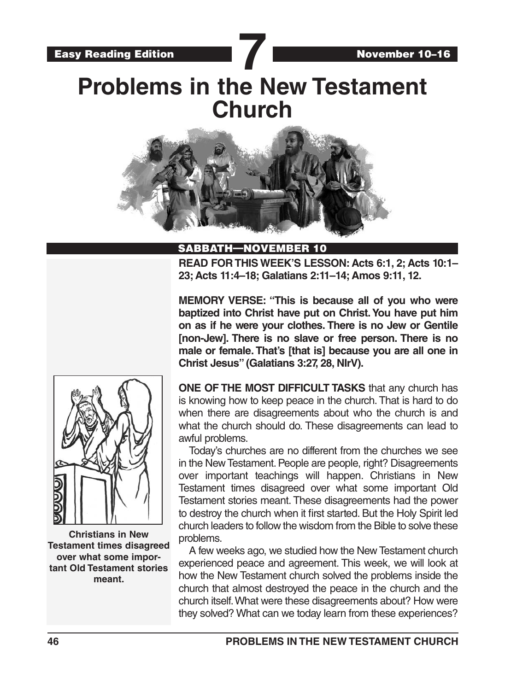# **Problems in the New Testament Church**



#### SABBATH—NOVEMBER 10

**READ FOR THIS WEEK'S LESSON: Acts 6:1, 2; Acts 10:1– 23; Acts 11:4–18; Galatians 2:11–14; Amos 9:11, 12.**

**MEMORY VERSE: "This is because all of you who were baptized into Christ have put on Christ. You have put him on as if he were your clothes. There is no Jew or Gentile [non-Jew]. There is no slave or free person. There is no male or female. That's [that is] because you are all one in Christ Jesus" (Galatians 3:27, 28, NIrV).**



**Christians in New Testament times disagreed over what some important Old Testament stories meant.**

**ONE OF THE MOST DIFFICULT TASKS** that any church has is knowing how to keep peace in the church. That is hard to do when there are disagreements about who the church is and what the church should do. These disagreements can lead to awful problems.

Today's churches are no different from the churches we see in the New Testament. People are people, right? Disagreements over important teachings will happen. Christians in New Testament times disagreed over what some important Old Testament stories meant. These disagreements had the power to destroy the church when it first started. But the Holy Spirit led church leaders to follow the wisdom from the Bible to solve these problems.

A few weeks ago, we studied how the New Testament church experienced peace and agreement. This week, we will look at how the New Testament church solved the problems inside the church that almost destroyed the peace in the church and the church itself. What were these disagreements about? How were they solved? What can we today learn from these experiences?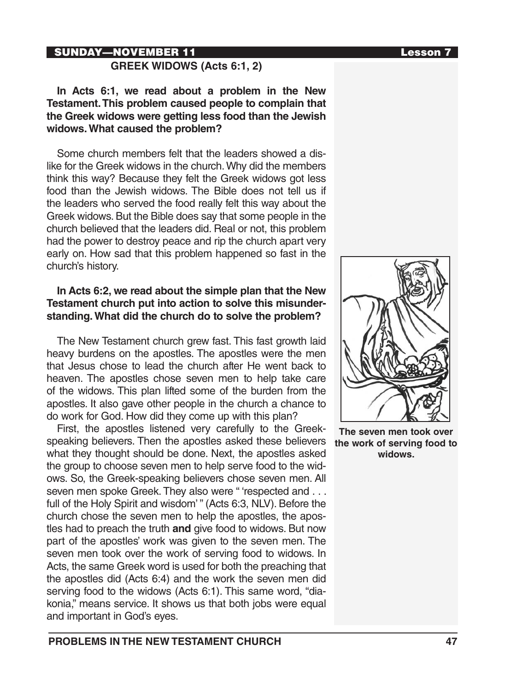#### SUNDAY—NOVEMBER 11 and the contract of the contract of the contract of the contract of the contract of the contract of the contract of the contract of the contract of the contract of the contract of the contract of the con

#### **GREEK WIDOWS (Acts 6:1, 2)**

**In Acts 6:1, we read about a problem in the New Testament. This problem caused people to complain that the Greek widows were getting less food than the Jewish widows. What caused the problem?** 

Some church members felt that the leaders showed a dislike for the Greek widows in the church. Why did the members think this way? Because they felt the Greek widows got less food than the Jewish widows. The Bible does not tell us if the leaders who served the food really felt this way about the Greek widows. But the Bible does say that some people in the church believed that the leaders did. Real or not, this problem had the power to destroy peace and rip the church apart very early on. How sad that this problem happened so fast in the church's history.

#### **In Acts 6:2, we read about the simple plan that the New Testament church put into action to solve this misunderstanding. What did the church do to solve the problem?**

The New Testament church grew fast. This fast growth laid heavy burdens on the apostles. The apostles were the men that Jesus chose to lead the church after He went back to heaven. The apostles chose seven men to help take care of the widows. This plan lifted some of the burden from the apostles. It also gave other people in the church a chance to do work for God. How did they come up with this plan?

First, the apostles listened very carefully to the Greekspeaking believers. Then the apostles asked these believers what they thought should be done. Next, the apostles asked the group to choose seven men to help serve food to the widows. So, the Greek-speaking believers chose seven men. All seven men spoke Greek. They also were " 'respected and . . . full of the Holy Spirit and wisdom'" (Acts 6:3, NLV). Before the church chose the seven men to help the apostles, the apostles had to preach the truth **and** give food to widows. But now part of the apostles' work was given to the seven men. The seven men took over the work of serving food to widows. In Acts, the same Greek word is used for both the preaching that the apostles did (Acts 6:4) and the work the seven men did serving food to the widows (Acts 6:1). This same word, "diakonia," means service. It shows us that both jobs were equal and important in God's eyes.



**The seven men took over the work of serving food to widows.**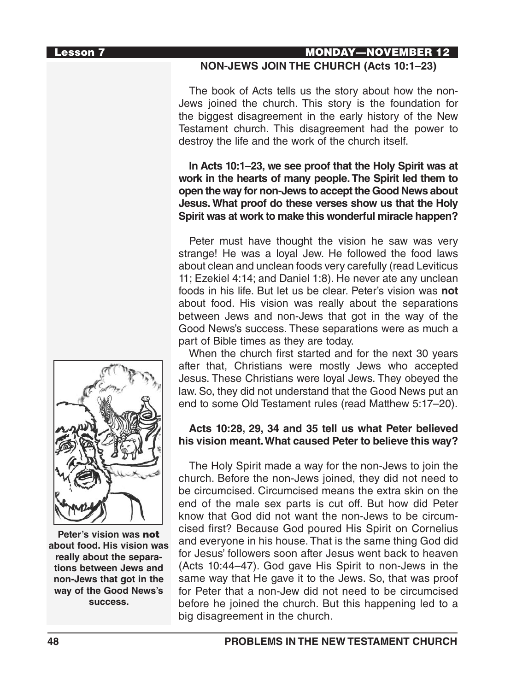#### Lesson 7 MONDAY—NOVEMBER 12

#### **NON-JEWS JOIN THE CHURCH (Acts 10:1–23)**

The book of Acts tells us the story about how the non-Jews joined the church. This story is the foundation for the biggest disagreement in the early history of the New Testament church. This disagreement had the power to destroy the life and the work of the church itself.

**In Acts 10:1–23, we see proof that the Holy Spirit was at work in the hearts of many people. The Spirit led them to open the way for non-Jews to accept the Good News about Jesus. What proof do these verses show us that the Holy Spirit was at work to make this wonderful miracle happen?**

Peter must have thought the vision he saw was very strange! He was a loyal Jew. He followed the food laws about clean and unclean foods very carefully (read Leviticus 11; Ezekiel 4:14; and Daniel 1:8). He never ate any unclean foods in his life. But let us be clear. Peter's vision was **not** about food. His vision was really about the separations between Jews and non-Jews that got in the way of the Good News's success. These separations were as much a part of Bible times as they are today.

When the church first started and for the next 30 years after that, Christians were mostly Jews who accepted Jesus. These Christians were loyal Jews. They obeyed the law. So, they did not understand that the Good News put an end to some Old Testament rules (read Matthew 5:17–20).

#### **Acts 10:28, 29, 34 and 35 tell us what Peter believed his vision meant. What caused Peter to believe this way?**

The Holy Spirit made a way for the non-Jews to join the church. Before the non-Jews joined, they did not need to be circumcised. Circumcised means the extra skin on the end of the male sex parts is cut off. But how did Peter know that God did not want the non-Jews to be circumcised first? Because God poured His Spirit on Cornelius and everyone in his house. That is the same thing God did for Jesus' followers soon after Jesus went back to heaven (Acts 10:44–47). God gave His Spirit to non-Jews in the same way that He gave it to the Jews. So, that was proof for Peter that a non-Jew did not need to be circumcised before he joined the church. But this happening led to a big disagreement in the church.



**Peter's vision was** not **about food. His vision was really about the separations between Jews and non-Jews that got in the way of the Good News's success.**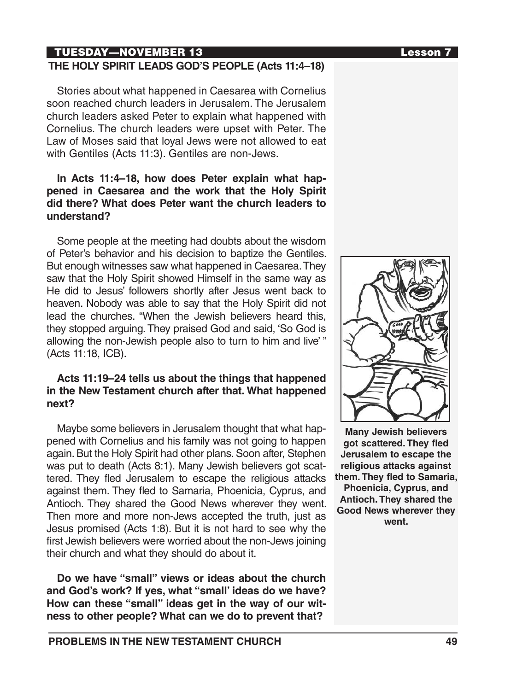### TUESDAY—NOVEMBER 13 Lesson 7

#### **THE HOLY SPIRIT LEADS GOD'S PEOPLE (Acts 11:4–18)**

Stories about what happened in Caesarea with Cornelius soon reached church leaders in Jerusalem. The Jerusalem church leaders asked Peter to explain what happened with Cornelius. The church leaders were upset with Peter. The Law of Moses said that loyal Jews were not allowed to eat with Gentiles (Acts 11:3). Gentiles are non-Jews.

#### **In Acts 11:4–18, how does Peter explain what happened in Caesarea and the work that the Holy Spirit did there? What does Peter want the church leaders to understand?**

Some people at the meeting had doubts about the wisdom of Peter's behavior and his decision to baptize the Gentiles. But enough witnesses saw what happened in Caesarea. They saw that the Holy Spirit showed Himself in the same way as He did to Jesus' followers shortly after Jesus went back to heaven. Nobody was able to say that the Holy Spirit did not lead the churches. "When the Jewish believers heard this, they stopped arguing. They praised God and said, 'So God is allowing the non-Jewish people also to turn to him and live' " (Acts 11:18, ICB).

#### **Acts 11:19–24 tells us about the things that happened in the New Testament church after that. What happened next?**

Maybe some believers in Jerusalem thought that what happened with Cornelius and his family was not going to happen again. But the Holy Spirit had other plans. Soon after, Stephen was put to death (Acts 8:1). Many Jewish believers got scattered. They fled Jerusalem to escape the religious attacks against them. They fled to Samaria, Phoenicia, Cyprus, and Antioch. They shared the Good News wherever they went. Then more and more non-Jews accepted the truth, just as Jesus promised (Acts 1:8). But it is not hard to see why the first Jewish believers were worried about the non-Jews joining their church and what they should do about it.

**Do we have "small" views or ideas about the church and God's work? If yes, what "small' ideas do we have? How can these "small" ideas get in the way of our witness to other people? What can we do to prevent that?**



**Many Jewish believers got scattered. They fled Jerusalem to escape the religious attacks against them. They fled to Samaria, Phoenicia, Cyprus, and Antioch. They shared the Good News wherever they went.**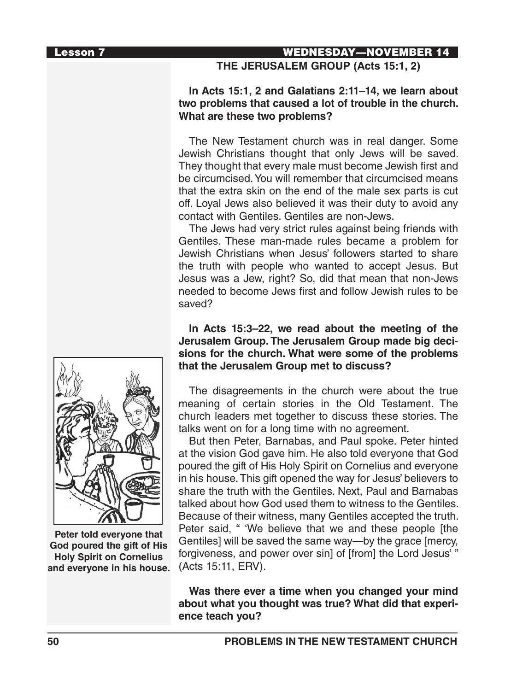#### Lesson 7 WEDNESDAY—NOVEMBER 14

#### **THE JERUSALEM GROUP (Acts 15:1, 2)**

#### **In Acts 15:1, 2 and Galatians 2:11–14, we learn about two problems that caused a lot of trouble in the church. What are these two problems?**

The New Testament church was in real danger. Some Jewish Christians thought that only Jews will be saved. They thought that every male must become Jewish first and be circumcised. You will remember that circumcised means that the extra skin on the end of the male sex parts is cut off. Loyal Jews also believed it was their duty to avoid any contact with Gentiles. Gentiles are non-Jews.

The Jews had very strict rules against being friends with Gentiles. These man-made rules became a problem for Jewish Christians when Jesus' followers started to share the truth with people who wanted to accept Jesus. But Jesus was a Jew, right? So, did that mean that non-Jews needed to become Jews first and follow Jewish rules to be saved?

#### **In Acts 15:3–22, we read about the meeting of the Jerusalem Group. The Jerusalem Group made big decisions for the church. What were some of the problems that the Jerusalem Group met to discuss?**

The disagreements in the church were about the true meaning of certain stories in the Old Testament. The church leaders met together to discuss these stories. The talks went on for a long time with no agreement.

But then Peter, Barnabas, and Paul spoke. Peter hinted at the vision God gave him. He also told everyone that God poured the gift of His Holy Spirit on Cornelius and everyone in his house. This gift opened the way for Jesus' believers to share the truth with the Gentiles. Next, Paul and Barnabas talked about how God used them to witness to the Gentiles. Because of their witness, many Gentiles accepted the truth. Peter said, " 'We believe that we and these people [the Gentiles] will be saved the same way—by the grace [mercy, forgiveness, and power over sin] of [from] the Lord Jesus' " (Acts 15:11, ERV).

**Was there ever a time when you changed your mind about what you thought was true? What did that experience teach you?**



**Peter told everyone that God poured the gift of His Holy Spirit on Cornelius and everyone in his house.**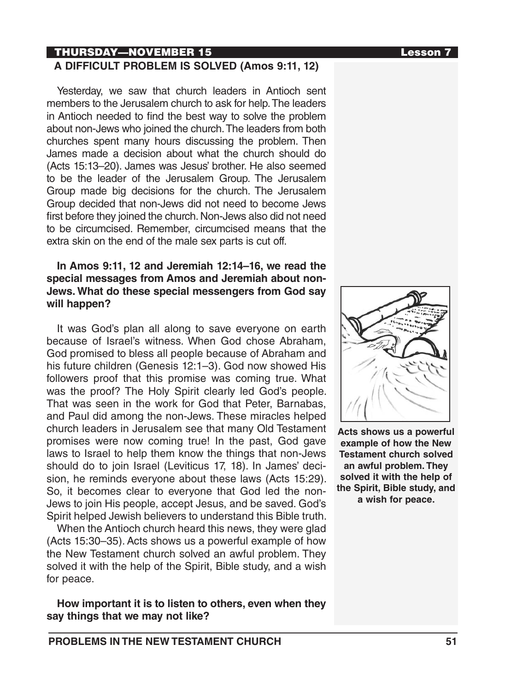## THURSDAY—NOVEMBER 15 Lesson 7

**A DIFFICULT PROBLEM IS SOLVED (Amos 9:11, 12)**

Yesterday, we saw that church leaders in Antioch sent members to the Jerusalem church to ask for help. The leaders in Antioch needed to find the best way to solve the problem about non-Jews who joined the church. The leaders from both churches spent many hours discussing the problem. Then James made a decision about what the church should do (Acts 15:13–20). James was Jesus' brother. He also seemed to be the leader of the Jerusalem Group. The Jerusalem Group made big decisions for the church. The Jerusalem Group decided that non-Jews did not need to become Jews first before they joined the church. Non-Jews also did not need to be circumcised. Remember, circumcised means that the extra skin on the end of the male sex parts is cut off.

#### **In Amos 9:11, 12 and Jeremiah 12:14–16, we read the special messages from Amos and Jeremiah about non-Jews. What do these special messengers from God say will happen?**

It was God's plan all along to save everyone on earth because of Israel's witness. When God chose Abraham, God promised to bless all people because of Abraham and his future children (Genesis 12:1–3). God now showed His followers proof that this promise was coming true. What was the proof? The Holy Spirit clearly led God's people. That was seen in the work for God that Peter, Barnabas, and Paul did among the non-Jews. These miracles helped church leaders in Jerusalem see that many Old Testament promises were now coming true! In the past, God gave laws to Israel to help them know the things that non-Jews should do to join Israel (Leviticus 17, 18). In James' decision, he reminds everyone about these laws (Acts 15:29). So, it becomes clear to everyone that God led the non-Jews to join His people, accept Jesus, and be saved. God's Spirit helped Jewish believers to understand this Bible truth.

When the Antioch church heard this news, they were glad (Acts 15:30–35). Acts shows us a powerful example of how the New Testament church solved an awful problem. They solved it with the help of the Spirit, Bible study, and a wish for peace.

**How important it is to listen to others, even when they say things that we may not like?**



**Acts shows us a powerful example of how the New Testament church solved an awful problem. They solved it with the help of the Spirit, Bible study, and a wish for peace.**